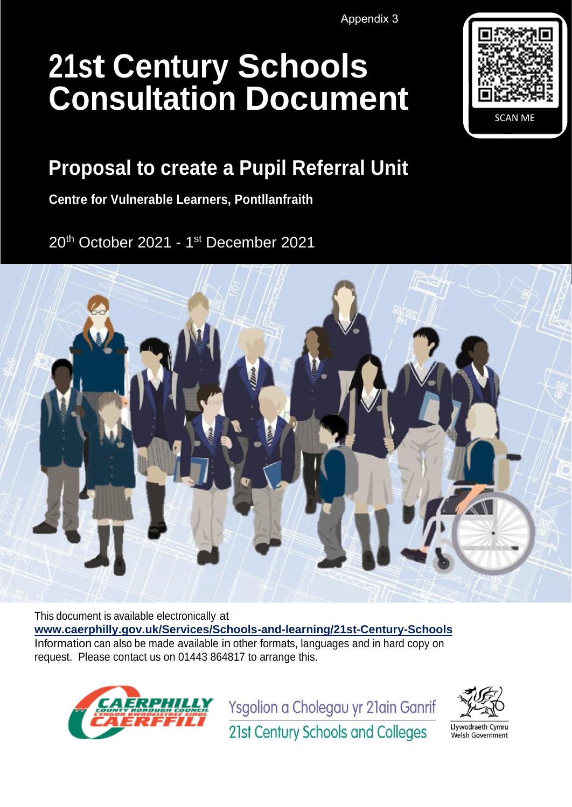Appendix 3

# **21st Century Schools Consultation Document**



# **Proposal to create a Pupil Referral Unit**

**Centre for Vulnerable Learners, Pontllanfraith**

20<sup>th</sup> October 2021 - 1st December 2021



This document is available electronically at **[www.caerphilly.gov.uk/Services/Schools-and-learning/21st-Century-Schools](http://www.caerphilly.gov.uk/Services/Schools-and-learning/21st-Century-Schools)** Information can also be made available in other formats, languages and in hard copy on request. Please contact us on 01443 864817 to arrange this.



Ysgolion a Cholegau yr 21ain Ganrif



21st Century Schools and Colleges

Llywodraeth Cymru Welsh Government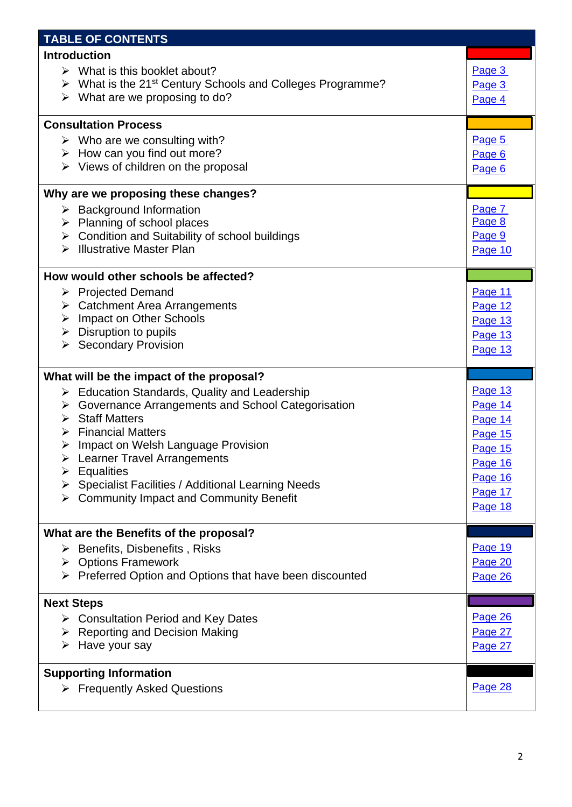| <b>TABLE OF CONTENTS</b>                                                                             |         |
|------------------------------------------------------------------------------------------------------|---------|
| <b>Introduction</b>                                                                                  |         |
| $\triangleright$ What is this booklet about?                                                         | Page 3  |
| $\triangleright$ What is the 21 <sup>st</sup> Century Schools and Colleges Programme?                | Page 3  |
| $\triangleright$ What are we proposing to do?                                                        | Page 4  |
|                                                                                                      |         |
| <b>Consultation Process</b>                                                                          |         |
| $\triangleright$ Who are we consulting with?                                                         | Page 5  |
| $\triangleright$ How can you find out more?                                                          | Page 6  |
| $\triangleright$ Views of children on the proposal                                                   | Page 6  |
| Why are we proposing these changes?                                                                  |         |
| $\triangleright$ Background Information                                                              | Page 7  |
| $\triangleright$ Planning of school places                                                           | Page 8  |
| > Condition and Suitability of school buildings                                                      | Page 9  |
| $\triangleright$ Illustrative Master Plan                                                            | Page 10 |
|                                                                                                      |         |
| How would other schools be affected?                                                                 |         |
| $\triangleright$ Projected Demand                                                                    | Page 11 |
| $\triangleright$ Catchment Area Arrangements                                                         | Page 12 |
| > Impact on Other Schools                                                                            | Page 13 |
| $\triangleright$ Disruption to pupils                                                                | Page 13 |
| $\triangleright$ Secondary Provision                                                                 | Page 13 |
|                                                                                                      |         |
|                                                                                                      |         |
| What will be the impact of the proposal?                                                             |         |
|                                                                                                      | Page 13 |
| $\triangleright$ Education Standards, Quality and Leadership                                         | Page 14 |
| $\triangleright$ Governance Arrangements and School Categorisation<br>$\triangleright$ Staff Matters |         |
| $\triangleright$ Financial Matters                                                                   | Page 14 |
| Impact on Welsh Language Provision<br>➤                                                              | Page 15 |
| $\triangleright$ Learner Travel Arrangements                                                         | Page 15 |
| <b>Equalities</b><br>➤                                                                               | Page 16 |
| Specialist Facilities / Additional Learning Needs<br>$\blacktriangleright$                           | Page 16 |
| $\triangleright$ Community Impact and Community Benefit                                              | Page 17 |
|                                                                                                      | Page 18 |
|                                                                                                      |         |
| What are the Benefits of the proposal?                                                               |         |
| $\triangleright$ Benefits, Disbenefits, Risks                                                        | Page 19 |
| $\triangleright$ Options Framework                                                                   | Page 20 |
| > Preferred Option and Options that have been discounted                                             | Page 26 |
| <b>Next Steps</b>                                                                                    |         |
| $\triangleright$ Consultation Period and Key Dates                                                   | Page 26 |
| <b>Reporting and Decision Making</b><br>➤                                                            | Page 27 |
| Have your say<br>➤                                                                                   | Page 27 |
|                                                                                                      |         |
| <b>Supporting Information</b>                                                                        |         |
| $\triangleright$ Frequently Asked Questions                                                          | Page 28 |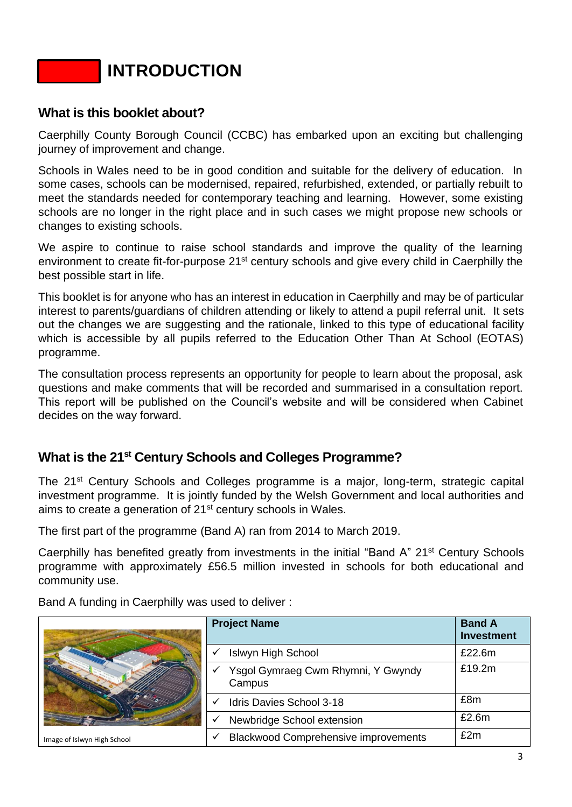**INTRODUCTION**

### <span id="page-2-0"></span>**What is this booklet about?**

Caerphilly County Borough Council (CCBC) has embarked upon an exciting but challenging journey of improvement and change.

Schools in Wales need to be in good condition and suitable for the delivery of education. In some cases, schools can be modernised, repaired, refurbished, extended, or partially rebuilt to meet the standards needed for contemporary teaching and learning. However, some existing schools are no longer in the right place and in such cases we might propose new schools or changes to existing schools.

We aspire to continue to raise school standards and improve the quality of the learning environment to create fit-for-purpose 21<sup>st</sup> century schools and give every child in Caerphilly the best possible start in life.

This booklet is for anyone who has an interest in education in Caerphilly and may be of particular interest to parents/guardians of children attending or likely to attend a pupil referral unit. It sets out the changes we are suggesting and the rationale, linked to this type of educational facility which is accessible by all pupils referred to the Education Other Than At School (EOTAS) programme.

The consultation process represents an opportunity for people to learn about the proposal, ask questions and make comments that will be recorded and summarised in a consultation report. This report will be published on the Council's website and will be considered when Cabinet decides on the way forward.

# <span id="page-2-1"></span>**What is the 21st Century Schools and Colleges Programme?**

The 21<sup>st</sup> Century Schools and Colleges programme is a major, long-term, strategic capital investment programme. It is jointly funded by the Welsh Government and local authorities and aims to create a generation of 21<sup>st</sup> century schools in Wales.

The first part of the programme (Band A) ran from 2014 to March 2019.

Caerphilly has benefited greatly from investments in the initial "Band A" 21<sup>st</sup> Century Schools programme with approximately £56.5 million invested in schools for both educational and community use.

Band A funding in Caerphilly was used to deliver :

|                             | <b>Project Name</b>                          | <b>Band A</b><br><b>Investment</b> |
|-----------------------------|----------------------------------------------|------------------------------------|
|                             | <b>Islwyn High School</b>                    | £22.6m                             |
|                             | Ysgol Gymraeg Cwm Rhymni, Y Gwyndy<br>Campus | £19.2m                             |
|                             | Idris Davies School 3-18                     | £8m                                |
|                             | Newbridge School extension                   | £2.6m                              |
| Image of Islwyn High School | <b>Blackwood Comprehensive improvements</b>  | £2m                                |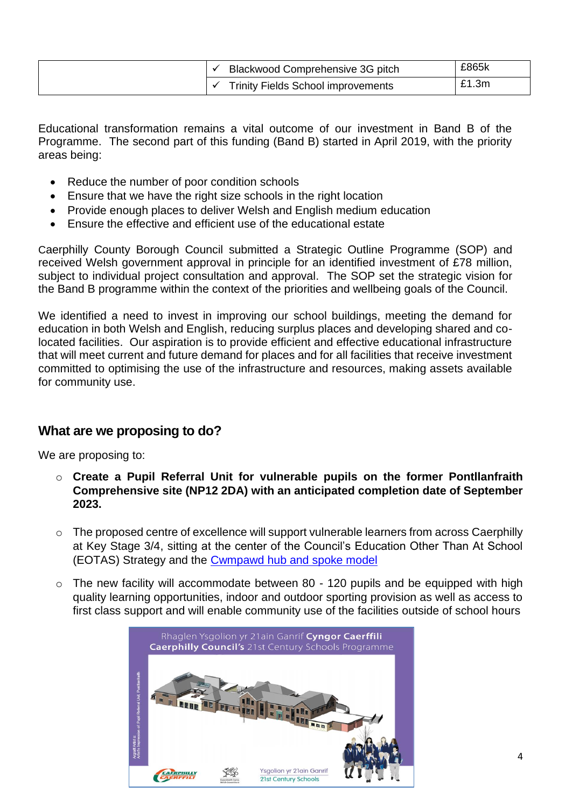| Blackwood Comprehensive 3G pitch          | £865k |
|-------------------------------------------|-------|
| <b>Trinity Fields School improvements</b> | £1.3m |

Educational transformation remains a vital outcome of our investment in Band B of the Programme. The second part of this funding (Band B) started in April 2019, with the priority areas being:

- Reduce the number of poor condition schools
- Ensure that we have the right size schools in the right location
- Provide enough places to deliver Welsh and English medium education
- Ensure the effective and efficient use of the educational estate

Caerphilly County Borough Council submitted a Strategic Outline Programme (SOP) and received Welsh government approval in principle for an identified investment of £78 million, subject to individual project consultation and approval. The SOP set the strategic vision for the Band B programme within the context of the priorities and wellbeing goals of the Council.

We identified a need to invest in improving our school buildings, meeting the demand for education in both Welsh and English, reducing surplus places and developing shared and colocated facilities. Our aspiration is to provide efficient and effective educational infrastructure that will meet current and future demand for places and for all facilities that receive investment committed to optimising the use of the infrastructure and resources, making assets available for community use.

#### <span id="page-3-0"></span>**What are we proposing to do?**

We are proposing to:

- o **Create a Pupil Referral Unit for vulnerable pupils on the former Pontllanfraith Comprehensive site (NP12 2DA) with an anticipated completion date of September 2023.**
- $\circ$  The proposed centre of excellence will support vulnerable learners from across Caerphilly at Key Stage 3/4, sitting at the center of the Council's Education Other Than At School (EOTAS) Strategy and the [Cwmpawd hub and spoke model](https://democracy.caerphilly.gov.uk/documents/s31849/Appendix%201%20EOTAS%20Strategy.pdf)
- $\circ$  The new facility will accommodate between 80 120 pupils and be equipped with high quality learning opportunities, indoor and outdoor sporting provision as well as access to first class support and will enable community use of the facilities outside of school hours

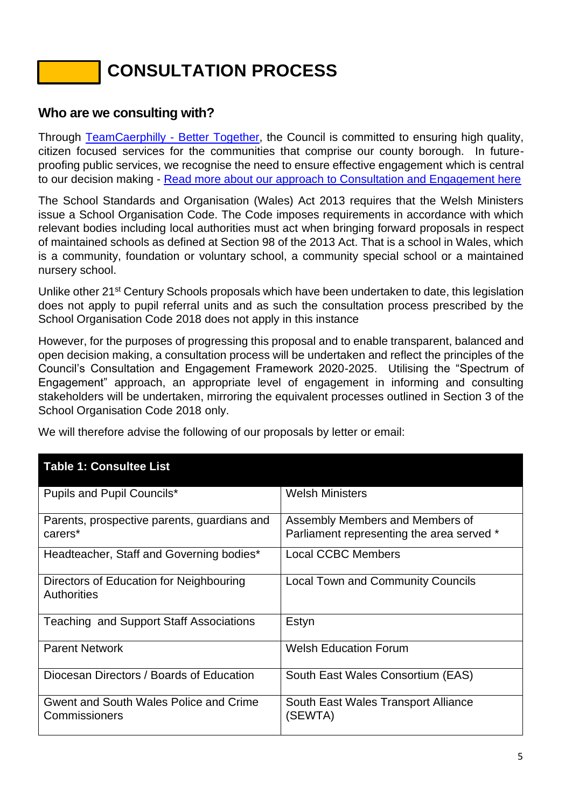# **CONSULTATION PROCESS**

### <span id="page-4-0"></span>**Who are we consulting with?**

Through [TeamCaerphilly -](https://www.caerphilly.gov.uk/tc-eng/) Better Together, the Council is committed to ensuring high quality, citizen focused services for the communities that comprise our county borough. In futureproofing public services, we recognise the need to ensure effective engagement which is central to our decision making - [Read more about our approach to Consultation and Engagement here](https://www.caerphilly.gov.uk/CaerphillyDocs/Consultations/Consultation-and-Engagement-Framework.aspx)

The School Standards and Organisation (Wales) Act 2013 requires that the Welsh Ministers issue a School Organisation Code. The Code imposes requirements in accordance with which relevant bodies including local authorities must act when bringing forward proposals in respect of maintained schools as defined at Section 98 of the 2013 Act. That is a school in Wales, which is a community, foundation or voluntary school, a community special school or a maintained nursery school.

Unlike other 21<sup>st</sup> Century Schools proposals which have been undertaken to date, this legislation does not apply to pupil referral units and as such the consultation process prescribed by the School Organisation Code 2018 does not apply in this instance

However, for the purposes of progressing this proposal and to enable transparent, balanced and open decision making, a consultation process will be undertaken and reflect the principles of the Council's Consultation and Engagement Framework 2020-2025. Utilising the "Spectrum of Engagement" approach, an appropriate level of engagement in informing and consulting stakeholders will be undertaken, mirroring the equivalent processes outlined in Section 3 of the School Organisation Code 2018 only.

| <b>Table 1: Consultee List</b>                                |                                                                              |
|---------------------------------------------------------------|------------------------------------------------------------------------------|
| Pupils and Pupil Councils*                                    | <b>Welsh Ministers</b>                                                       |
| Parents, prospective parents, guardians and<br>carers*        | Assembly Members and Members of<br>Parliament representing the area served * |
| Headteacher, Staff and Governing bodies*                      | <b>Local CCBC Members</b>                                                    |
| Directors of Education for Neighbouring<br><b>Authorities</b> | <b>Local Town and Community Councils</b>                                     |
| <b>Teaching and Support Staff Associations</b>                | Estyn                                                                        |
| <b>Parent Network</b>                                         | <b>Welsh Education Forum</b>                                                 |
| Diocesan Directors / Boards of Education                      | South East Wales Consortium (EAS)                                            |
| Gwent and South Wales Police and Crime<br>Commissioners       | South East Wales Transport Alliance<br>(SEWTA)                               |

We will therefore advise the following of our proposals by letter or email: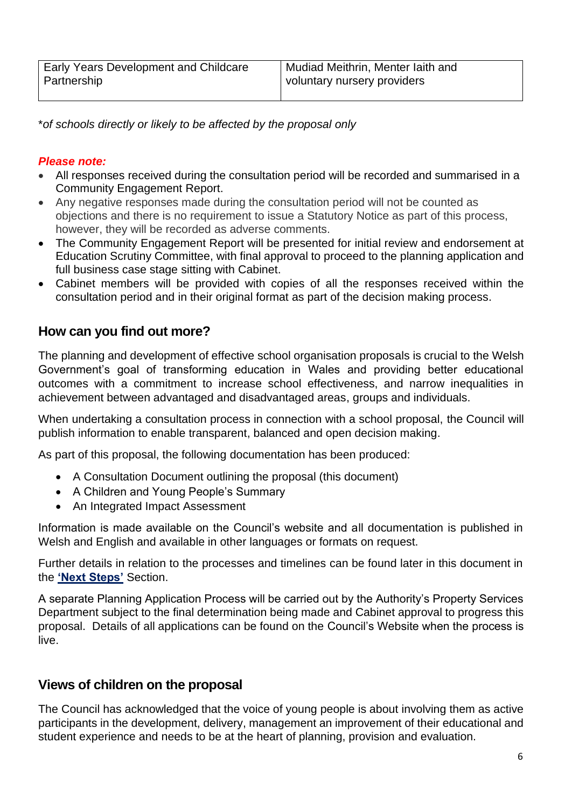\**of schools directly or likely to be affected by the proposal only*

#### *Please note:*

- All responses received during the consultation period will be recorded and summarised in a Community Engagement Report.
- Any negative responses made during the consultation period will not be counted as objections and there is no requirement to issue a Statutory Notice as part of this process, however, they will be recorded as adverse comments.
- The Community Engagement Report will be presented for initial review and endorsement at Education Scrutiny Committee, with final approval to proceed to the planning application and full business case stage sitting with Cabinet.
- Cabinet members will be provided with copies of all the responses received within the consultation period and in their original format as part of the decision making process.

# <span id="page-5-0"></span>**How can you find out more?**

The planning and development of effective school organisation proposals is crucial to the Welsh Government's goal of transforming education in Wales and providing better educational outcomes with a commitment to increase school effectiveness, and narrow inequalities in achievement between advantaged and disadvantaged areas, groups and individuals.

When undertaking a consultation process in connection with a school proposal, the Council will publish information to enable transparent, balanced and open decision making.

As part of this proposal, the following documentation has been produced:

- A Consultation Document outlining the proposal (this document)
- A Children and Young People's Summary
- An Integrated Impact Assessment

Information is made available on the Council's website and all documentation is published in Welsh and English and available in other languages or formats on request.

Further details in relation to the processes and timelines can be found later in this document in the **['Next Steps'](#page-25-2)** Section.

A separate Planning Application Process will be carried out by the Authority's Property Services Department subject to the final determination being made and Cabinet approval to progress this proposal. Details of all applications can be found on the Council's Website when the process is live.

# <span id="page-5-1"></span>**Views of children on the proposal**

The Council has acknowledged that the voice of young people is about involving them as active participants in the development, delivery, management an improvement of their educational and student experience and needs to be at the heart of planning, provision and evaluation.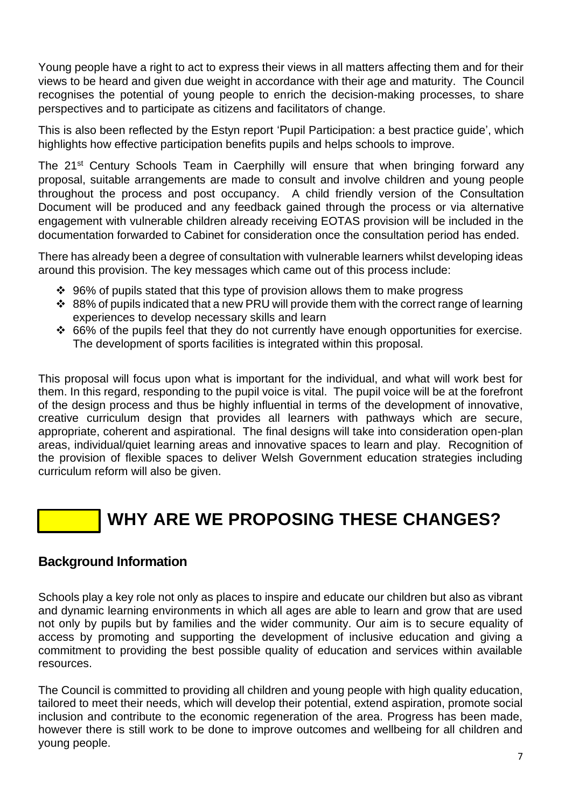Young people have a right to act to express their views in all matters affecting them and for their views to be heard and given due weight in accordance with their age and maturity. The Council recognises the potential of young people to enrich the decision-making processes, to share perspectives and to participate as citizens and facilitators of change.

This is also been reflected by the Estyn report 'Pupil Participation: a best practice guide', which highlights how effective participation benefits pupils and helps schools to improve.

The 21<sup>st</sup> Century Schools Team in Caerphilly will ensure that when bringing forward any proposal, suitable arrangements are made to consult and involve children and young people throughout the process and post occupancy. A child friendly version of the Consultation Document will be produced and any feedback gained through the process or via alternative engagement with vulnerable children already receiving EOTAS provision will be included in the documentation forwarded to Cabinet for consideration once the consultation period has ended.

There has already been a degree of consultation with vulnerable learners whilst developing ideas around this provision. The key messages which came out of this process include:

- ❖ 96% of pupils stated that this type of provision allows them to make progress
- ❖ 88% of pupils indicated that a new PRU will provide them with the correct range of learning experiences to develop necessary skills and learn
- ❖ 66% of the pupils feel that they do not currently have enough opportunities for exercise. The development of sports facilities is integrated within this proposal.

This proposal will focus upon what is important for the individual, and what will work best for them. In this regard, responding to the pupil voice is vital. The pupil voice will be at the forefront of the design process and thus be highly influential in terms of the development of innovative, creative curriculum design that provides all learners with pathways which are secure, appropriate, coherent and aspirational. The final designs will take into consideration open-plan areas, individual/quiet learning areas and innovative spaces to learn and play. Recognition of the provision of flexible spaces to deliver Welsh Government education strategies including curriculum reform will also be given.

# **WHY ARE WE PROPOSING THESE CHANGES?**

#### <span id="page-6-0"></span>**Background Information**

Schools play a key role not only as places to inspire and educate our children but also as vibrant and dynamic learning environments in which all ages are able to learn and grow that are used not only by pupils but by families and the wider community. Our aim is to secure equality of access by promoting and supporting the development of inclusive education and giving a commitment to providing the best possible quality of education and services within available resources.

The Council is committed to providing all children and young people with high quality education, tailored to meet their needs, which will develop their potential, extend aspiration, promote social inclusion and contribute to the economic regeneration of the area. Progress has been made, however there is still work to be done to improve outcomes and wellbeing for all children and young people.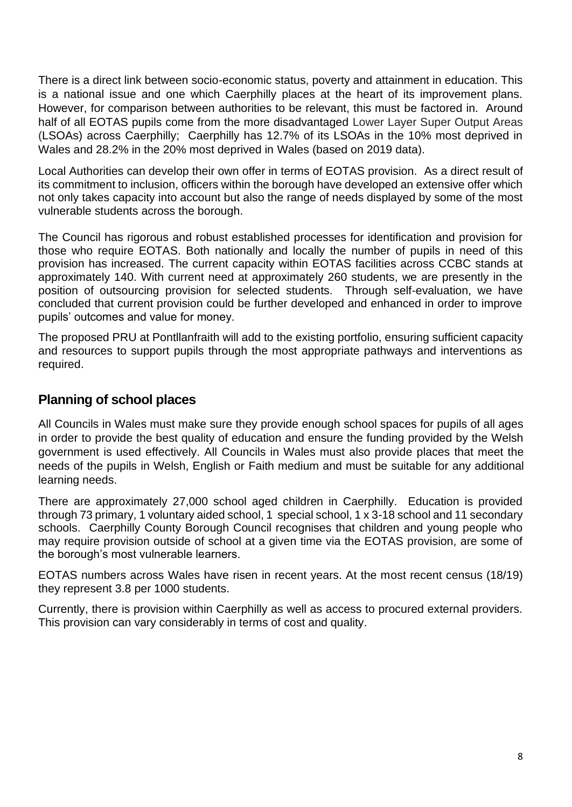There is a direct link between socio-economic status, poverty and attainment in education. This is a national issue and one which Caerphilly places at the heart of its improvement plans. However, for comparison between authorities to be relevant, this must be factored in. Around half of all EOTAS pupils come from the more disadvantaged Lower Layer Super Output Areas (LSOAs) across Caerphilly; Caerphilly has 12.7% of its LSOAs in the 10% most deprived in Wales and 28.2% in the 20% most deprived in Wales (based on 2019 data).

Local Authorities can develop their own offer in terms of EOTAS provision. As a direct result of its commitment to inclusion, officers within the borough have developed an extensive offer which not only takes capacity into account but also the range of needs displayed by some of the most vulnerable students across the borough.

The Council has rigorous and robust established processes for identification and provision for those who require EOTAS. Both nationally and locally the number of pupils in need of this provision has increased. The current capacity within EOTAS facilities across CCBC stands at approximately 140. With current need at approximately 260 students, we are presently in the position of outsourcing provision for selected students. Through self-evaluation, we have concluded that current provision could be further developed and enhanced in order to improve pupils' outcomes and value for money.

The proposed PRU at Pontllanfraith will add to the existing portfolio, ensuring sufficient capacity and resources to support pupils through the most appropriate pathways and interventions as required.

# <span id="page-7-0"></span>**Planning of school places**

All Councils in Wales must make sure they provide enough school spaces for pupils of all ages in order to provide the best quality of education and ensure the funding provided by the Welsh government is used effectively. All Councils in Wales must also provide places that meet the needs of the pupils in Welsh, English or Faith medium and must be suitable for any additional learning needs.

There are approximately 27,000 school aged children in Caerphilly. Education is provided through 73 primary, 1 voluntary aided school, 1 special school, 1 x 3-18 school and 11 secondary schools. Caerphilly County Borough Council recognises that children and young people who may require provision outside of school at a given time via the EOTAS provision, are some of the borough's most vulnerable learners.

EOTAS numbers across Wales have risen in recent years. At the most recent census (18/19) they represent 3.8 per 1000 students.

Currently, there is provision within Caerphilly as well as access to procured external providers. This provision can vary considerably in terms of cost and quality.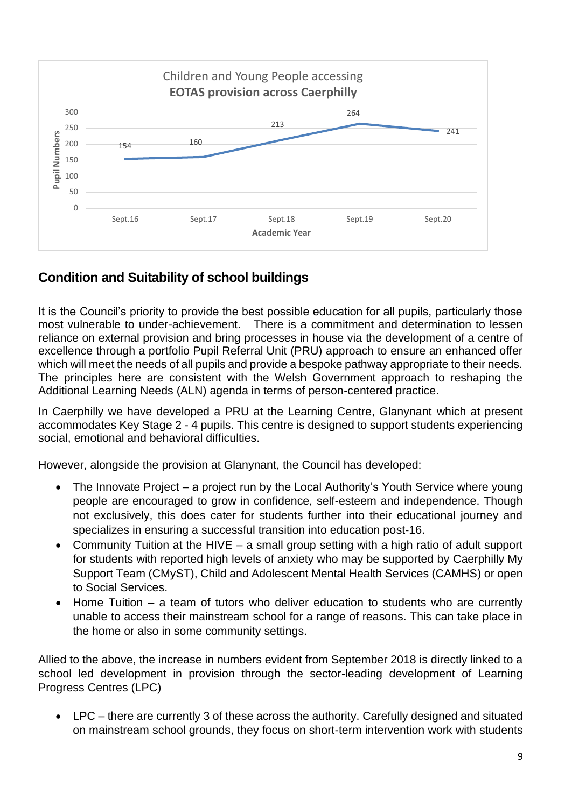

# <span id="page-8-0"></span>**Condition and Suitability of school buildings**

It is the Council's priority to provide the best possible education for all pupils, particularly those most vulnerable to under-achievement. There is a commitment and determination to lessen reliance on external provision and bring processes in house via the development of a centre of excellence through a portfolio Pupil Referral Unit (PRU) approach to ensure an enhanced offer which will meet the needs of all pupils and provide a bespoke pathway appropriate to their needs. The principles here are consistent with the Welsh Government approach to reshaping the Additional Learning Needs (ALN) agenda in terms of person-centered practice.

In Caerphilly we have developed a PRU at the Learning Centre, Glanynant which at present accommodates Key Stage 2 - 4 pupils. This centre is designed to support students experiencing social, emotional and behavioral difficulties.

However, alongside the provision at Glanynant, the Council has developed:

- The Innovate Project a project run by the Local Authority's Youth Service where young people are encouraged to grow in confidence, self-esteem and independence. Though not exclusively, this does cater for students further into their educational journey and specializes in ensuring a successful transition into education post-16.
- Community Tuition at the HIVE a small group setting with a high ratio of adult support for students with reported high levels of anxiety who may be supported by Caerphilly My Support Team (CMyST), Child and Adolescent Mental Health Services (CAMHS) or open to Social Services.
- Home Tuition  $-$  a team of tutors who deliver education to students who are currently unable to access their mainstream school for a range of reasons. This can take place in the home or also in some community settings.

Allied to the above, the increase in numbers evident from September 2018 is directly linked to a school led development in provision through the sector-leading development of Learning Progress Centres (LPC)

• LPC – there are currently 3 of these across the authority. Carefully designed and situated on mainstream school grounds, they focus on short-term intervention work with students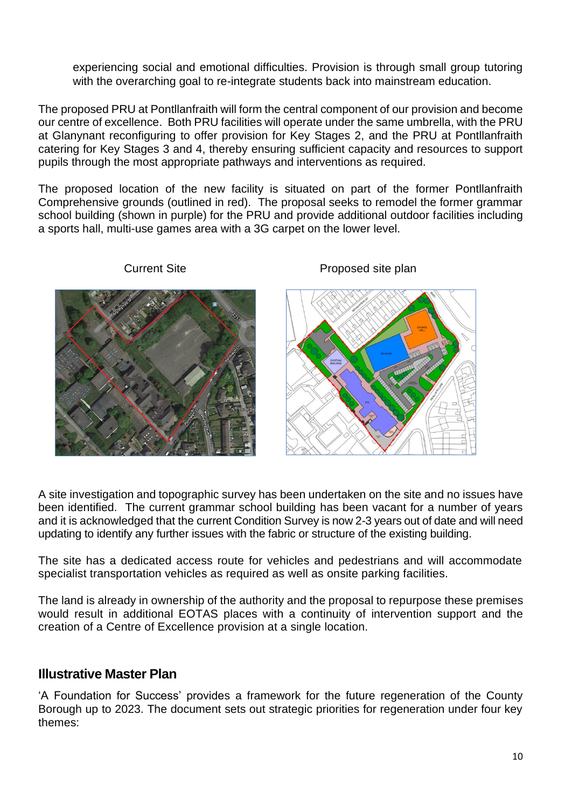experiencing social and emotional difficulties. Provision is through small group tutoring with the overarching goal to re-integrate students back into mainstream education.

The proposed PRU at Pontllanfraith will form the central component of our provision and become our centre of excellence. Both PRU facilities will operate under the same umbrella, with the PRU at Glanynant reconfiguring to offer provision for Key Stages 2, and the PRU at Pontllanfraith catering for Key Stages 3 and 4, thereby ensuring sufficient capacity and resources to support pupils through the most appropriate pathways and interventions as required.

The proposed location of the new facility is situated on part of the former Pontllanfraith Comprehensive grounds (outlined in red). The proposal seeks to remodel the former grammar school building (shown in purple) for the PRU and provide additional outdoor facilities including a sports hall, multi-use games area with a 3G carpet on the lower level.



#### Current Site **Current Site Accord Proposed site plan**

A site investigation and topographic survey has been undertaken on the site and no issues have been identified. The current grammar school building has been vacant for a number of years and it is acknowledged that the current Condition Survey is now 2-3 years out of date and will need updating to identify any further issues with the fabric or structure of the existing building.

The site has a dedicated access route for vehicles and pedestrians and will accommodate specialist transportation vehicles as required as well as onsite parking facilities.

The land is already in ownership of the authority and the proposal to repurpose these premises would result in additional EOTAS places with a continuity of intervention support and the creation of a Centre of Excellence provision at a single location.

#### <span id="page-9-0"></span>**Illustrative Master Plan**

'A Foundation for Success' provides a framework for the future regeneration of the County Borough up to 2023. The document sets out strategic priorities for regeneration under four key themes: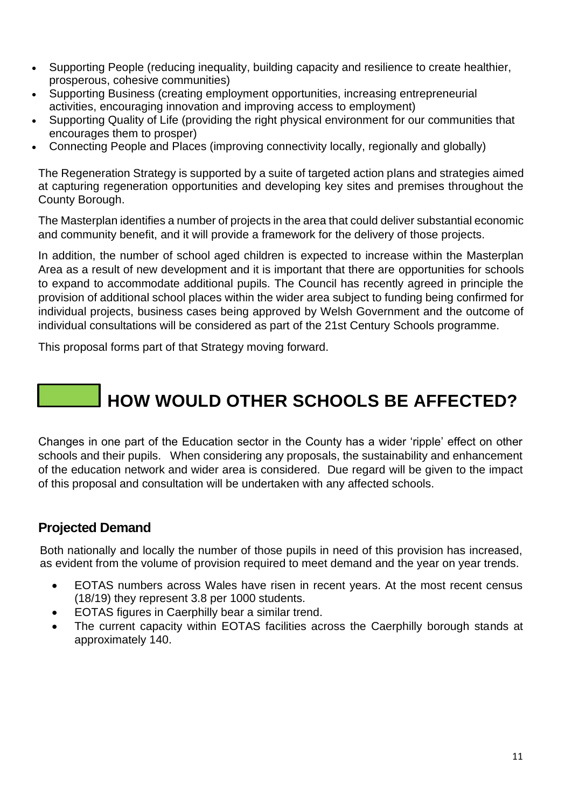- Supporting People (reducing inequality, building capacity and resilience to create healthier, prosperous, cohesive communities)
- Supporting Business (creating employment opportunities, increasing entrepreneurial activities, encouraging innovation and improving access to employment)
- Supporting Quality of Life (providing the right physical environment for our communities that encourages them to prosper)
- Connecting People and Places (improving connectivity locally, regionally and globally)

The Regeneration Strategy is supported by a suite of targeted action plans and strategies aimed at capturing regeneration opportunities and developing key sites and premises throughout the County Borough.

The Masterplan identifies a number of projects in the area that could deliver substantial economic and community benefit, and it will provide a framework for the delivery of those projects.

In addition, the number of school aged children is expected to increase within the Masterplan Area as a result of new development and it is important that there are opportunities for schools to expand to accommodate additional pupils. The Council has recently agreed in principle the provision of additional school places within the wider area subject to funding being confirmed for individual projects, business cases being approved by Welsh Government and the outcome of individual consultations will be considered as part of the 21st Century Schools programme.

This proposal forms part of that Strategy moving forward.

# **HOW WOULD OTHER SCHOOLS BE AFFECTED?**

Changes in one part of the Education sector in the County has a wider 'ripple' effect on other schools and their pupils. When considering any proposals, the sustainability and enhancement of the education network and wider area is considered. Due regard will be given to the impact of this proposal and consultation will be undertaken with any affected schools.

# <span id="page-10-0"></span>**Projected Demand**

Both nationally and locally the number of those pupils in need of this provision has increased, as evident from the volume of provision required to meet demand and the year on year trends.

- EOTAS numbers across Wales have risen in recent years. At the most recent census (18/19) they represent 3.8 per 1000 students.
- EOTAS figures in Caerphilly bear a similar trend.
- The current capacity within EOTAS facilities across the Caerphilly borough stands at approximately 140.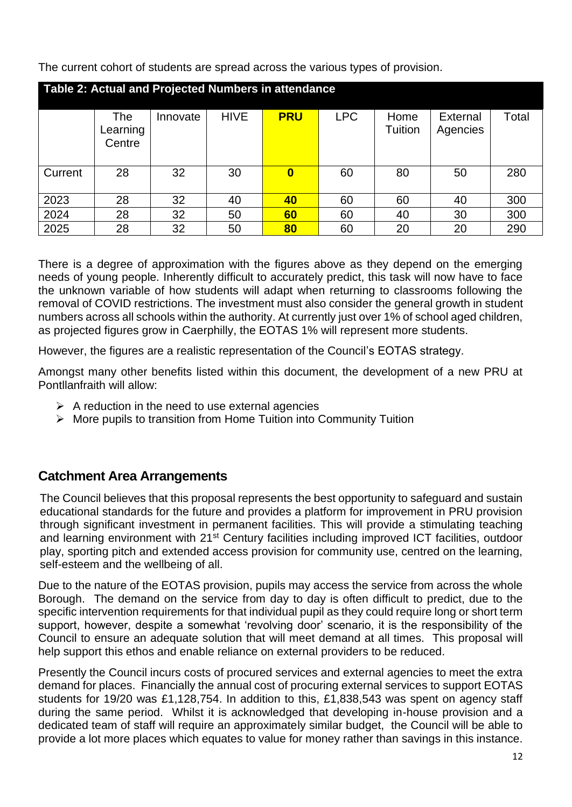The current cohort of students are spread across the various types of provision.

| Table 2: Actual and Projected Numbers in attendance |                           |          |             |            |            |                 |                             |       |  |
|-----------------------------------------------------|---------------------------|----------|-------------|------------|------------|-----------------|-----------------------------|-------|--|
|                                                     | The<br>Learning<br>Centre | Innovate | <b>HIVE</b> | <b>PRU</b> | <b>LPC</b> | Home<br>Tuition | <b>External</b><br>Agencies | Total |  |
| Current                                             | 28                        | 32       | 30          | 0          | 60         | 80              | 50                          | 280   |  |
| 2023                                                | 28                        | 32       | 40          | 40         | 60         | 60              | 40                          | 300   |  |
| 2024                                                | 28                        | 32       | 50          | 60         | 60         | 40              | 30                          | 300   |  |
| 2025                                                | 28                        | 32       | 50          | 80         | 60         | 20              | 20                          | 290   |  |

There is a degree of approximation with the figures above as they depend on the emerging needs of young people. Inherently difficult to accurately predict, this task will now have to face the unknown variable of how students will adapt when returning to classrooms following the removal of COVID restrictions. The investment must also consider the general growth in student numbers across all schools within the authority. At currently just over 1% of school aged children, as projected figures grow in Caerphilly, the EOTAS 1% will represent more students.

However, the figures are a realistic representation of the Council's EOTAS strategy.

Amongst many other benefits listed within this document, the development of a new PRU at Pontllanfraith will allow:

- $\triangleright$  A reduction in the need to use external agencies
- ➢ More pupils to transition from Home Tuition into Community Tuition

# <span id="page-11-0"></span>**Catchment Area Arrangements**

The Council believes that this proposal represents the best opportunity to safeguard and sustain educational standards for the future and provides a platform for improvement in PRU provision through significant investment in permanent facilities. This will provide a stimulating teaching and learning environment with 21<sup>st</sup> Century facilities including improved ICT facilities, outdoor play, sporting pitch and extended access provision for community use, centred on the learning, self-esteem and the wellbeing of all.

Due to the nature of the EOTAS provision, pupils may access the service from across the whole Borough. The demand on the service from day to day is often difficult to predict, due to the specific intervention requirements for that individual pupil as they could require long or short term support, however, despite a somewhat 'revolving door' scenario, it is the responsibility of the Council to ensure an adequate solution that will meet demand at all times. This proposal will help support this ethos and enable reliance on external providers to be reduced.

Presently the Council incurs costs of procured services and external agencies to meet the extra demand for places. Financially the annual cost of procuring external services to support EOTAS students for 19/20 was £1,128,754. In addition to this, £1,838,543 was spent on agency staff during the same period. Whilst it is acknowledged that developing in-house provision and a dedicated team of staff will require an approximately similar budget, the Council will be able to provide a lot more places which equates to value for money rather than savings in this instance.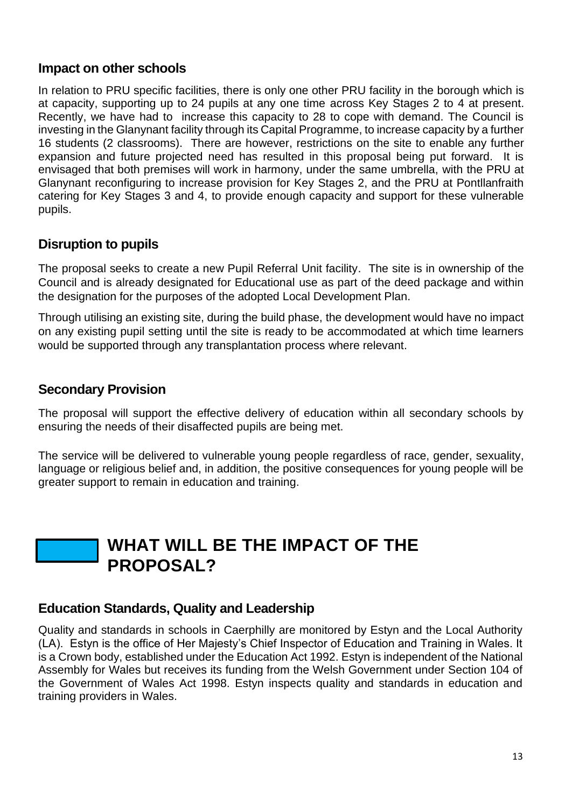### <span id="page-12-0"></span>**Impact on other schools**

In relation to PRU specific facilities, there is only one other PRU facility in the borough which is at capacity, supporting up to 24 pupils at any one time across Key Stages 2 to 4 at present. Recently, we have had to increase this capacity to 28 to cope with demand. The Council is investing in the Glanynant facility through its Capital Programme, to increase capacity by a further 16 students (2 classrooms). There are however, restrictions on the site to enable any further expansion and future projected need has resulted in this proposal being put forward. It is envisaged that both premises will work in harmony, under the same umbrella, with the PRU at Glanynant reconfiguring to increase provision for Key Stages 2, and the PRU at Pontllanfraith catering for Key Stages 3 and 4, to provide enough capacity and support for these vulnerable pupils.

# <span id="page-12-1"></span>**Disruption to pupils**

The proposal seeks to create a new Pupil Referral Unit facility. The site is in ownership of the Council and is already designated for Educational use as part of the deed package and within the designation for the purposes of the adopted Local Development Plan.

Through utilising an existing site, during the build phase, the development would have no impact on any existing pupil setting until the site is ready to be accommodated at which time learners would be supported through any transplantation process where relevant.

# <span id="page-12-2"></span>**Secondary Provision**

The proposal will support the effective delivery of education within all secondary schools by ensuring the needs of their disaffected pupils are being met.

The service will be delivered to vulnerable young people regardless of race, gender, sexuality, language or religious belief and, in addition, the positive consequences for young people will be greater support to remain in education and training.

# **WHAT WILL BE THE IMPACT OF THE PROPOSAL?**

#### <span id="page-12-3"></span>**Education Standards, Quality and Leadership**

Quality and standards in schools in Caerphilly are monitored by Estyn and the Local Authority (LA). Estyn is the office of Her Majesty's Chief Inspector of Education and Training in Wales. It is a Crown body, established under the Education Act 1992. Estyn is independent of the National Assembly for Wales but receives its funding from the Welsh Government under Section 104 of the Government of Wales Act 1998. Estyn inspects quality and standards in education and training providers in Wales.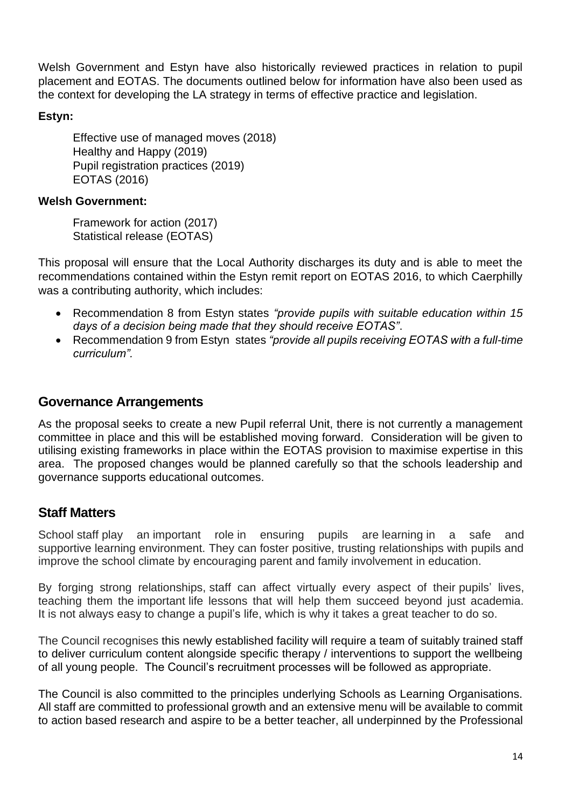Welsh Government and Estyn have also historically reviewed practices in relation to pupil placement and EOTAS. The documents outlined below for information have also been used as the context for developing the LA strategy in terms of effective practice and legislation.

#### **Estyn:**

Effective use of managed moves (2018) Healthy and Happy (2019) Pupil registration practices (2019) EOTAS (2016)

#### **Welsh Government:**

Framework for action (2017) Statistical release (EOTAS)

This proposal will ensure that the Local Authority discharges its duty and is able to meet the recommendations contained within the Estyn remit report on EOTAS 2016, to which Caerphilly was a contributing authority, which includes:

- Recommendation 8 from Estyn states *"provide pupils with suitable education within 15 days of a decision being made that they should receive EOTAS"*.
- Recommendation 9 from Estyn states *"provide all pupils receiving EOTAS with a full-time curriculum".*

### <span id="page-13-0"></span>**Governance Arrangements**

As the proposal seeks to create a new Pupil referral Unit, there is not currently a management committee in place and this will be established moving forward. Consideration will be given to utilising existing frameworks in place within the EOTAS provision to maximise expertise in this area. The proposed changes would be planned carefully so that the schools leadership and governance supports educational outcomes.

# <span id="page-13-1"></span>**Staff Matters**

School staff play an important role in ensuring pupils are learning in a safe and supportive learning environment. They can foster positive, trusting relationships with pupils and improve the school climate by encouraging parent and family involvement in education.

By forging strong relationships, staff can affect virtually every aspect of their pupils' lives, teaching them the important life lessons that will help them succeed beyond just academia. It is not always easy to change a pupil's life, which is why it takes a great teacher to do so.

The Council recognises this newly established facility will require a team of suitably trained staff to deliver curriculum content alongside specific therapy / interventions to support the wellbeing of all young people. The Council's recruitment processes will be followed as appropriate.

The Council is also committed to the principles underlying Schools as Learning Organisations. All staff are committed to professional growth and an extensive menu will be available to commit to action based research and aspire to be a better teacher, all underpinned by the Professional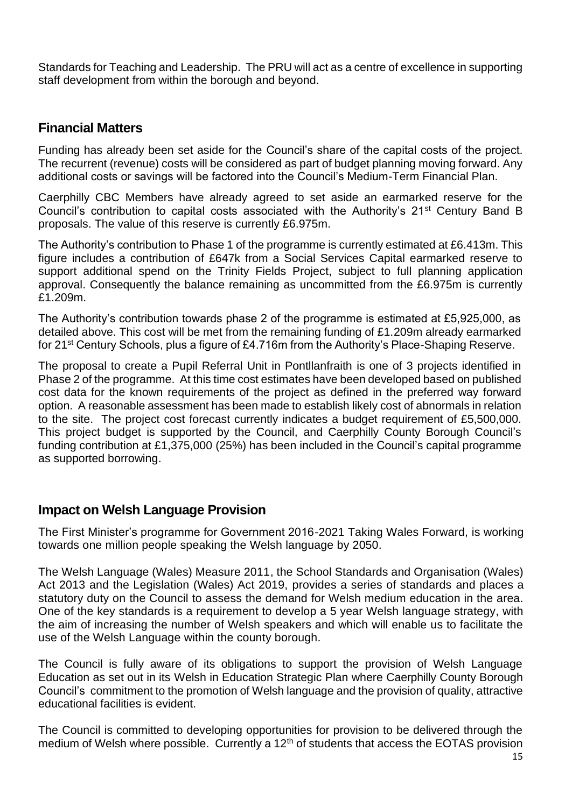Standards for Teaching and Leadership. The PRU will act as a centre of excellence in supporting staff development from within the borough and beyond.

#### <span id="page-14-0"></span>**Financial Matters**

Funding has already been set aside for the Council's share of the capital costs of the project. The recurrent (revenue) costs will be considered as part of budget planning moving forward. Any additional costs or savings will be factored into the Council's Medium-Term Financial Plan.

Caerphilly CBC Members have already agreed to set aside an earmarked reserve for the Council's contribution to capital costs associated with the Authority's 21<sup>st</sup> Century Band B proposals. The value of this reserve is currently £6.975m.

The Authority's contribution to Phase 1 of the programme is currently estimated at £6.413m. This figure includes a contribution of £647k from a Social Services Capital earmarked reserve to support additional spend on the Trinity Fields Project, subject to full planning application approval. Consequently the balance remaining as uncommitted from the £6.975m is currently £1.209m.

The Authority's contribution towards phase 2 of the programme is estimated at £5,925,000, as detailed above. This cost will be met from the remaining funding of £1.209m already earmarked for 21<sup>st</sup> Century Schools, plus a figure of £4.716m from the Authority's Place-Shaping Reserve.

The proposal to create a Pupil Referral Unit in Pontllanfraith is one of 3 projects identified in Phase 2 of the programme. At this time cost estimates have been developed based on published cost data for the known requirements of the project as defined in the preferred way forward option. A reasonable assessment has been made to establish likely cost of abnormals in relation to the site. The project cost forecast currently indicates a budget requirement of £5,500,000. This project budget is supported by the Council, and Caerphilly County Borough Council's funding contribution at £1,375,000 (25%) has been included in the Council's capital programme as supported borrowing.

#### <span id="page-14-1"></span>**Impact on Welsh Language Provision**

The First Minister's programme for Government 2016-2021 Taking Wales Forward, is working towards one million people speaking the Welsh language by 2050.

The Welsh Language (Wales) Measure 2011, the School Standards and Organisation (Wales) Act 2013 and the Legislation (Wales) Act 2019, provides a series of standards and places a statutory duty on the Council to assess the demand for Welsh medium education in the area. One of the key standards is a requirement to develop a 5 year Welsh language strategy, with the aim of increasing the number of Welsh speakers and which will enable us to facilitate the use of the Welsh Language within the county borough.

The Council is fully aware of its obligations to support the provision of Welsh Language Education as set out in its Welsh in Education Strategic Plan where Caerphilly County Borough Council's commitment to the promotion of Welsh language and the provision of quality, attractive educational facilities is evident.

The Council is committed to developing opportunities for provision to be delivered through the medium of Welsh where possible. Currently a  $12<sup>th</sup>$  of students that access the EOTAS provision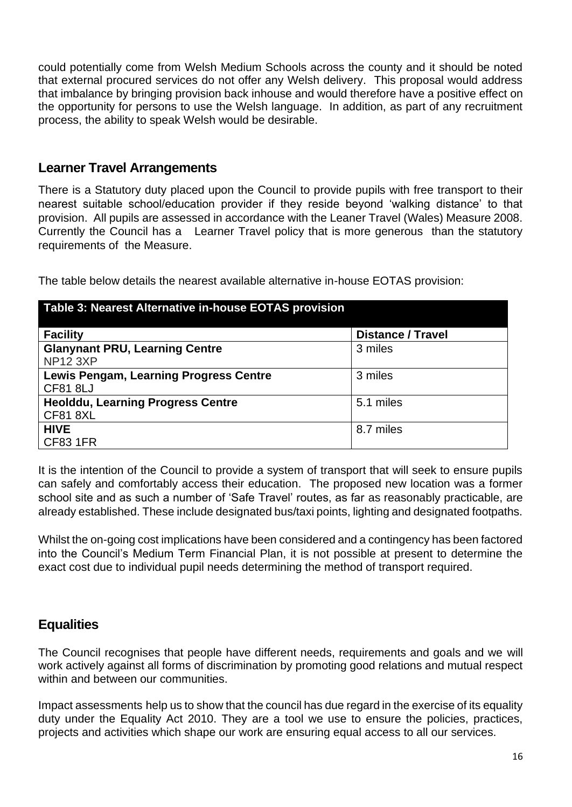could potentially come from Welsh Medium Schools across the county and it should be noted that external procured services do not offer any Welsh delivery. This proposal would address that imbalance by bringing provision back inhouse and would therefore have a positive effect on the opportunity for persons to use the Welsh language. In addition, as part of any recruitment process, the ability to speak Welsh would be desirable.

### <span id="page-15-0"></span>**Learner Travel Arrangements**

There is a Statutory duty placed upon the Council to provide pupils with free transport to their nearest suitable school/education provider if they reside beyond 'walking distance' to that provision. All pupils are assessed in accordance with the Leaner Travel (Wales) Measure 2008. Currently the Council has a Learner Travel policy that is more generous than the statutory requirements of the Measure.

The table below details the nearest available alternative in-house EOTAS provision:

| Table 3: Nearest Alternative in-house EOTAS provision |                          |  |  |  |  |  |
|-------------------------------------------------------|--------------------------|--|--|--|--|--|
| <b>Facility</b>                                       | <b>Distance / Travel</b> |  |  |  |  |  |
| <b>Glanynant PRU, Learning Centre</b>                 | 3 miles                  |  |  |  |  |  |
| <b>NP12 3XP</b>                                       |                          |  |  |  |  |  |
| Lewis Pengam, Learning Progress Centre                | 3 miles                  |  |  |  |  |  |
| <b>CF81 8LJ</b>                                       |                          |  |  |  |  |  |
| <b>Heolddu, Learning Progress Centre</b>              | 5.1 miles                |  |  |  |  |  |
| <b>CF81 8XL</b>                                       |                          |  |  |  |  |  |
| <b>HIVE</b>                                           | 8.7 miles                |  |  |  |  |  |
| <b>CF83 1FR</b>                                       |                          |  |  |  |  |  |

It is the intention of the Council to provide a system of transport that will seek to ensure pupils can safely and comfortably access their education. The proposed new location was a former school site and as such a number of 'Safe Travel' routes, as far as reasonably practicable, are already established. These include designated bus/taxi points, lighting and designated footpaths.

Whilst the on-going cost implications have been considered and a contingency has been factored into the Council's Medium Term Financial Plan, it is not possible at present to determine the exact cost due to individual pupil needs determining the method of transport required.

# <span id="page-15-1"></span>**Equalities**

The Council recognises that people have different needs, requirements and goals and we will work actively against all forms of discrimination by promoting good relations and mutual respect within and between our communities.

Impact assessments help us to show that the council has due regard in the exercise of its equality duty under the Equality Act 2010. They are a tool we use to ensure the policies, practices, projects and activities which shape our work are ensuring equal access to all our services.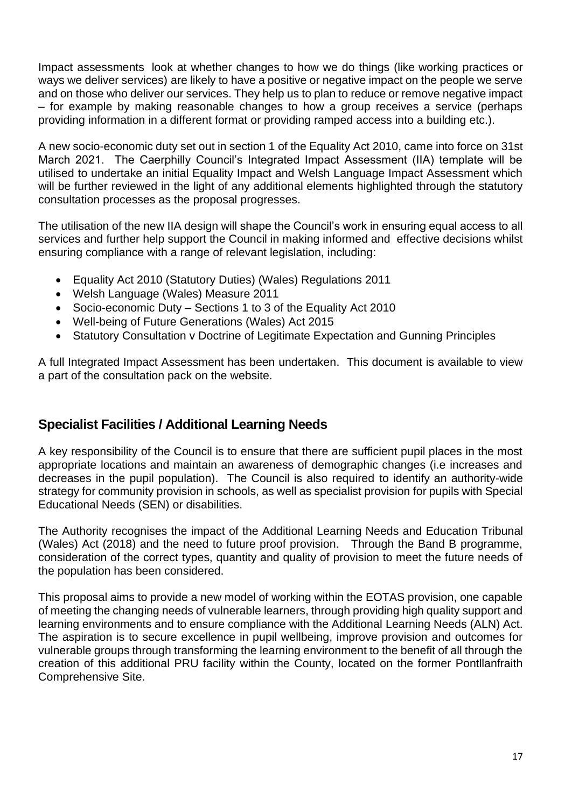Impact assessments look at whether changes to how we do things (like working practices or ways we deliver services) are likely to have a positive or negative impact on the people we serve and on those who deliver our services. They help us to plan to reduce or remove negative impact – for example by making reasonable changes to how a group receives a service (perhaps providing information in a different format or providing ramped access into a building etc.).

A new socio-economic duty set out in section 1 of the Equality Act 2010, came into force on 31st March 2021. The Caerphilly Council's Integrated Impact Assessment (IIA) template will be utilised to undertake an initial Equality Impact and Welsh Language Impact Assessment which will be further reviewed in the light of any additional elements highlighted through the statutory consultation processes as the proposal progresses.

The utilisation of the new IIA design will shape the Council's work in ensuring equal access to all services and further help support the Council in making informed and effective decisions whilst ensuring compliance with a range of relevant legislation, including:

- Equality Act 2010 (Statutory Duties) (Wales) Regulations 2011
- Welsh Language (Wales) Measure 2011
- Socio-economic Duty Sections 1 to 3 of the Equality Act 2010
- Well-being of Future Generations (Wales) Act 2015
- Statutory Consultation v Doctrine of Legitimate Expectation and Gunning Principles

A full Integrated Impact Assessment has been undertaken. This document is available to view a part of the consultation pack on the website.

# <span id="page-16-0"></span>**Specialist Facilities / Additional Learning Needs**

A key responsibility of the Council is to ensure that there are sufficient pupil places in the most appropriate locations and maintain an awareness of demographic changes (i.e increases and decreases in the pupil population). The Council is also required to identify an authority-wide strategy for community provision in schools, as well as specialist provision for pupils with Special Educational Needs (SEN) or disabilities.

The Authority recognises the impact of the Additional Learning Needs and Education Tribunal (Wales) Act (2018) and the need to future proof provision. Through the Band B programme, consideration of the correct types, quantity and quality of provision to meet the future needs of the population has been considered.

This proposal aims to provide a new model of working within the EOTAS provision, one capable of meeting the changing needs of vulnerable learners, through providing high quality support and learning environments and to ensure compliance with the Additional Learning Needs (ALN) Act. The aspiration is to secure excellence in pupil wellbeing, improve provision and outcomes for vulnerable groups through transforming the learning environment to the benefit of all through the creation of this additional PRU facility within the County, located on the former Pontllanfraith Comprehensive Site.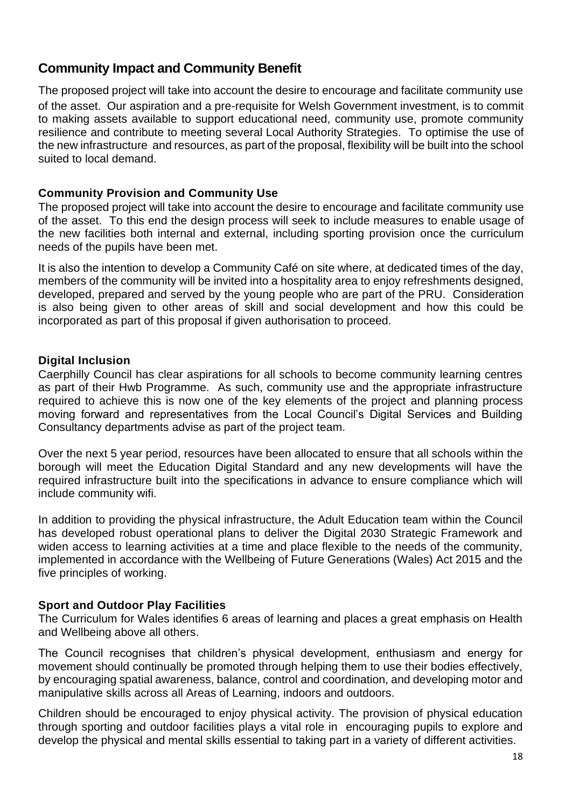# <span id="page-17-0"></span>**Community Impact and Community Benefit**

The proposed project will take into account the desire to encourage and facilitate community use of the asset. Our aspiration and a pre-requisite for Welsh Government investment, is to commit to making assets available to support educational need, community use, promote community resilience and contribute to meeting several Local Authority Strategies. To optimise the use of the new infrastructure and resources, as part of the proposal, flexibility will be built into the school suited to local demand.

#### **Community Provision and Community Use**

The proposed project will take into account the desire to encourage and facilitate community use of the asset. To this end the design process will seek to include measures to enable usage of the new facilities both internal and external, including sporting provision once the curriculum needs of the pupils have been met.

It is also the intention to develop a Community Café on site where, at dedicated times of the day, members of the community will be invited into a hospitality area to enjoy refreshments designed, developed, prepared and served by the young people who are part of the PRU. Consideration is also being given to other areas of skill and social development and how this could be incorporated as part of this proposal if given authorisation to proceed.

#### **Digital Inclusion**

Caerphilly Council has clear aspirations for all schools to become community learning centres as part of their Hwb Programme. As such, community use and the appropriate infrastructure required to achieve this is now one of the key elements of the project and planning process moving forward and representatives from the Local Council's Digital Services and Building Consultancy departments advise as part of the project team.

Over the next 5 year period, resources have been allocated to ensure that all schools within the borough will meet the Education Digital Standard and any new developments will have the required infrastructure built into the specifications in advance to ensure compliance which will include community wifi.

In addition to providing the physical infrastructure, the Adult Education team within the Council has developed robust operational plans to deliver the Digital 2030 Strategic Framework and widen access to learning activities at a time and place flexible to the needs of the community, implemented in accordance with the Wellbeing of Future Generations (Wales) Act 2015 and the five principles of working.

#### **Sport and Outdoor Play Facilities**

The Curriculum for Wales identifies 6 areas of learning and places a great emphasis on Health and Wellbeing above all others.

The Council recognises that children's physical development, enthusiasm and energy for movement should continually be promoted through helping them to use their bodies effectively, by encouraging spatial awareness, balance, control and coordination, and developing motor and manipulative skills across all Areas of Learning, indoors and outdoors.

Children should be encouraged to enjoy physical activity. The provision of physical education through sporting and outdoor facilities plays a vital role in encouraging pupils to explore and develop the physical and mental skills essential to taking part in a variety of different activities.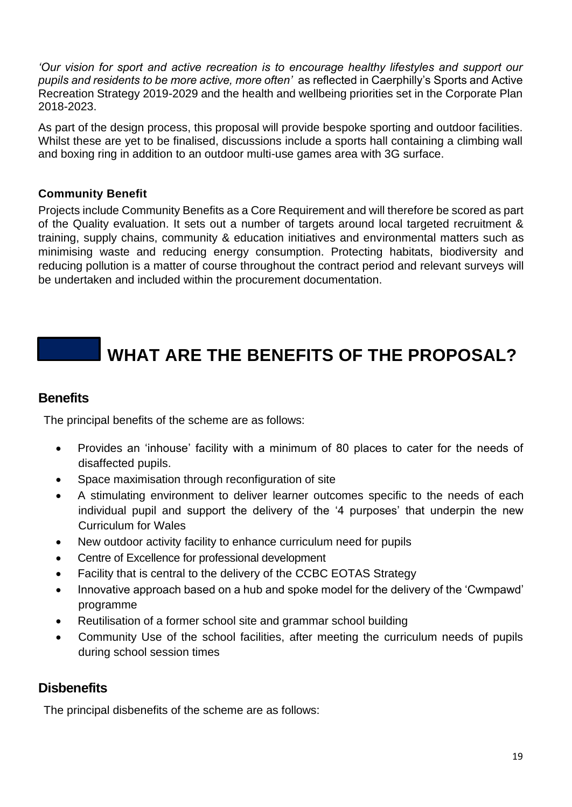*'Our vision for sport and active recreation is to encourage healthy lifestyles and support our pupils and residents to be more active, more often'* as reflected in Caerphilly's Sports and Active Recreation Strategy 2019-2029 and the health and wellbeing priorities set in the Corporate Plan 2018-2023.

As part of the design process, this proposal will provide bespoke sporting and outdoor facilities. Whilst these are yet to be finalised, discussions include a sports hall containing a climbing wall and boxing ring in addition to an outdoor multi-use games area with 3G surface.

#### **Community Benefit**

Projects include Community Benefits as a Core Requirement and will therefore be scored as part of the Quality evaluation. It sets out a number of targets around local targeted recruitment & training, supply chains, community & education initiatives and environmental matters such as minimising waste and reducing energy consumption. Protecting habitats, biodiversity and reducing pollution is a matter of course throughout the contract period and relevant surveys will be undertaken and included within the procurement documentation.

# **WHAT ARE THE BENEFITS OF THE PROPOSAL?**

#### <span id="page-18-0"></span>**Benefits**

The principal benefits of the scheme are as follows:

- Provides an 'inhouse' facility with a minimum of 80 places to cater for the needs of disaffected pupils.
- Space maximisation through reconfiguration of site
- A stimulating environment to deliver learner outcomes specific to the needs of each individual pupil and support the delivery of the '4 purposes' that underpin the new Curriculum for Wales
- New outdoor activity facility to enhance curriculum need for pupils
- Centre of Excellence for professional development
- Facility that is central to the delivery of the CCBC EOTAS Strategy
- Innovative approach based on a hub and spoke model for the delivery of the 'Cwmpawd' programme
- Reutilisation of a former school site and grammar school building
- Community Use of the school facilities, after meeting the curriculum needs of pupils during school session times

# **Disbenefits**

The principal disbenefits of the scheme are as follows: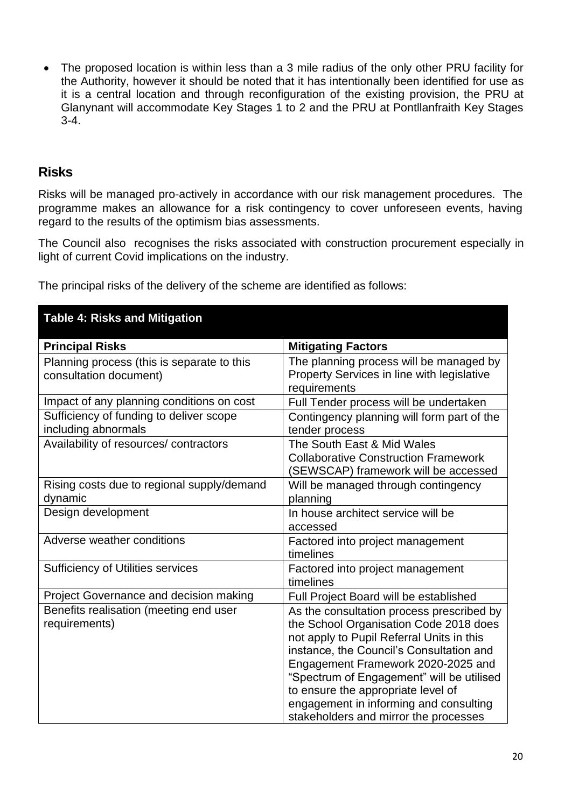• The proposed location is within less than a 3 mile radius of the only other PRU facility for the Authority, however it should be noted that it has intentionally been identified for use as it is a central location and through reconfiguration of the existing provision, the PRU at Glanynant will accommodate Key Stages 1 to 2 and the PRU at Pontllanfraith Key Stages 3-4.

### **Risks**

Risks will be managed pro-actively in accordance with our risk management procedures. The programme makes an allowance for a risk contingency to cover unforeseen events, having regard to the results of the optimism bias assessments.

The Council also recognises the risks associated with construction procurement especially in light of current Covid implications on the industry.

The principal risks of the delivery of the scheme are identified as follows:

| <b>Table 4: Risks and Mitigation</b>                                 |                                                                                                                                                                                                                                                                                                                                                                                          |
|----------------------------------------------------------------------|------------------------------------------------------------------------------------------------------------------------------------------------------------------------------------------------------------------------------------------------------------------------------------------------------------------------------------------------------------------------------------------|
| <b>Principal Risks</b>                                               | <b>Mitigating Factors</b>                                                                                                                                                                                                                                                                                                                                                                |
| Planning process (this is separate to this<br>consultation document) | The planning process will be managed by<br>Property Services in line with legislative<br>requirements                                                                                                                                                                                                                                                                                    |
| Impact of any planning conditions on cost                            | Full Tender process will be undertaken                                                                                                                                                                                                                                                                                                                                                   |
| Sufficiency of funding to deliver scope<br>including abnormals       | Contingency planning will form part of the<br>tender process                                                                                                                                                                                                                                                                                                                             |
| Availability of resources/ contractors                               | The South East & Mid Wales<br><b>Collaborative Construction Framework</b><br>(SEWSCAP) framework will be accessed                                                                                                                                                                                                                                                                        |
| Rising costs due to regional supply/demand<br>dynamic                | Will be managed through contingency<br>planning                                                                                                                                                                                                                                                                                                                                          |
| Design development                                                   | In house architect service will be<br>accessed                                                                                                                                                                                                                                                                                                                                           |
| Adverse weather conditions                                           | Factored into project management<br>timelines                                                                                                                                                                                                                                                                                                                                            |
| <b>Sufficiency of Utilities services</b>                             | Factored into project management<br>timelines                                                                                                                                                                                                                                                                                                                                            |
| Project Governance and decision making                               | Full Project Board will be established                                                                                                                                                                                                                                                                                                                                                   |
| Benefits realisation (meeting end user<br>requirements)              | As the consultation process prescribed by<br>the School Organisation Code 2018 does<br>not apply to Pupil Referral Units in this<br>instance, the Council's Consultation and<br>Engagement Framework 2020-2025 and<br>"Spectrum of Engagement" will be utilised<br>to ensure the appropriate level of<br>engagement in informing and consulting<br>stakeholders and mirror the processes |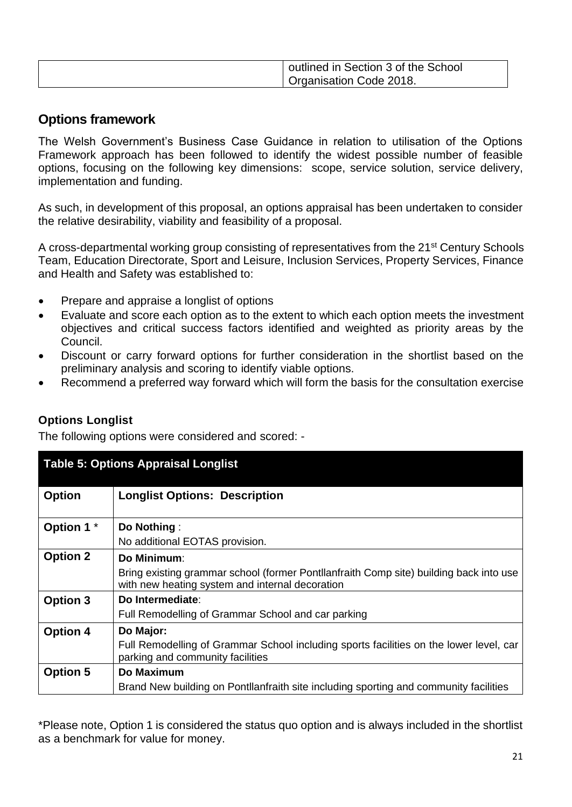| outlined in Section 3 of the School |
|-------------------------------------|
| Organisation Code 2018.             |

# <span id="page-20-0"></span>**Options framework**

The Welsh Government's Business Case Guidance in relation to utilisation of the Options Framework approach has been followed to identify the widest possible number of feasible options, focusing on the following key dimensions: scope, service solution, service delivery, implementation and funding.

As such, in development of this proposal, an options appraisal has been undertaken to consider the relative desirability, viability and feasibility of a proposal.

A cross-departmental working group consisting of representatives from the 21<sup>st</sup> Century Schools Team, Education Directorate, Sport and Leisure, Inclusion Services, Property Services, Finance and Health and Safety was established to:

- Prepare and appraise a longlist of options
- Evaluate and score each option as to the extent to which each option meets the investment objectives and critical success factors identified and weighted as priority areas by the Council.
- Discount or carry forward options for further consideration in the shortlist based on the preliminary analysis and scoring to identify viable options.
- Recommend a preferred way forward which will form the basis for the consultation exercise

The following options were considered and scored: -

| <b>Table 5: Options Appraisal Longlist</b> |                                                                                                                                           |  |  |  |  |
|--------------------------------------------|-------------------------------------------------------------------------------------------------------------------------------------------|--|--|--|--|
| <b>Option</b>                              | <b>Longlist Options: Description</b>                                                                                                      |  |  |  |  |
| Option 1 *                                 | Do Nothing:                                                                                                                               |  |  |  |  |
|                                            | No additional EOTAS provision.                                                                                                            |  |  |  |  |
| <b>Option 2</b>                            | <b>Do Minimum:</b>                                                                                                                        |  |  |  |  |
|                                            | Bring existing grammar school (former Pontllanfraith Comp site) building back into use<br>with new heating system and internal decoration |  |  |  |  |
| Option 3                                   | Do Intermediate:                                                                                                                          |  |  |  |  |
|                                            | Full Remodelling of Grammar School and car parking                                                                                        |  |  |  |  |
| <b>Option 4</b>                            | Do Major:                                                                                                                                 |  |  |  |  |
|                                            | Full Remodelling of Grammar School including sports facilities on the lower level, car<br>parking and community facilities                |  |  |  |  |
| <b>Option 5</b>                            | Do Maximum                                                                                                                                |  |  |  |  |
|                                            | Brand New building on Pontllanfraith site including sporting and community facilities                                                     |  |  |  |  |

\*Please note, Option 1 is considered the status quo option and is always included in the shortlist as a benchmark for value for money.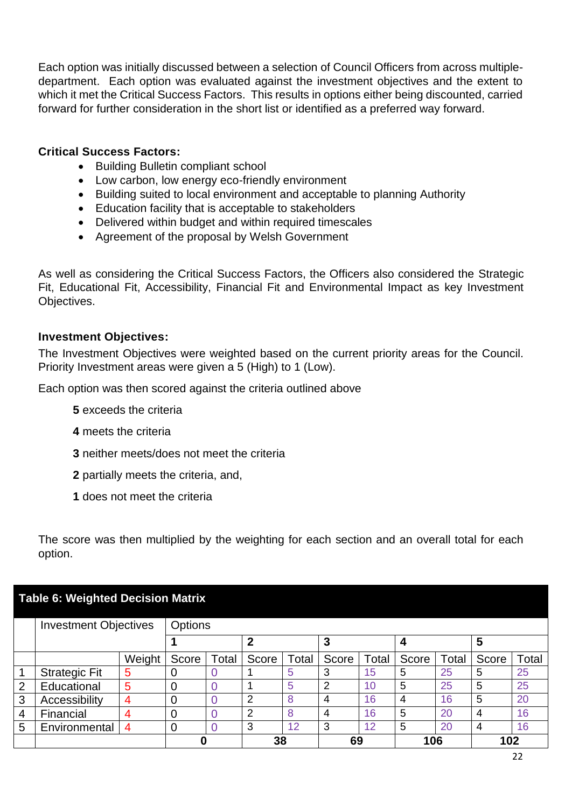Each option was initially discussed between a selection of Council Officers from across multipledepartment. Each option was evaluated against the investment objectives and the extent to which it met the Critical Success Factors. This results in options either being discounted, carried forward for further consideration in the short list or identified as a preferred way forward.

#### **Critical Success Factors:**

- Building Bulletin compliant school
- Low carbon, low energy eco-friendly environment
- Building suited to local environment and acceptable to planning Authority
- Education facility that is acceptable to stakeholders
- Delivered within budget and within required timescales
- Agreement of the proposal by Welsh Government

As well as considering the Critical Success Factors, the Officers also considered the Strategic Fit, Educational Fit, Accessibility, Financial Fit and Environmental Impact as key Investment Objectives.

#### **Investment Objectives:**

The Investment Objectives were weighted based on the current priority areas for the Council. Priority Investment areas were given a 5 (High) to 1 (Low).

Each option was then scored against the criteria outlined above

- **5** exceeds the criteria
- **4** meets the criteria
- **3** neither meets/does not meet the criteria
- **2** partially meets the criteria, and,
- **1** does not meet the criteria

The score was then multiplied by the weighting for each section and an overall total for each option.

#### **Table 6: Weighted Decision Matrix**

|                | <b>Investment Objectives</b> |                | Options |       |       |       |       |       |       |       |       |       |
|----------------|------------------------------|----------------|---------|-------|-------|-------|-------|-------|-------|-------|-------|-------|
|                |                              |                |         |       | າ     |       | 3     |       |       |       | 5     |       |
|                |                              | Weight         | Score   | Total | Score | Total | Score | Total | Score | Total | Score | Total |
|                | <b>Strategic Fit</b>         | 5              | 0       |       |       | 5     | 3     | 15    | 5     | 25    | 5     | 25    |
| 2              | Educational                  | 5              |         |       |       | 5     | 2     | 10    | 5     | 25    | 5     | 25    |
| 3              | Accessibility                | 4              | 0       |       | າ     | 8     | 4     | 16    | 4     | 16    | 5     | 20    |
| $\overline{4}$ | Financial                    | 4              | 0       |       | ົ     | 8     | 4     | 16    | 5     | 20    |       | 16    |
| 5              | Environmental                | $\overline{4}$ | 0       |       | 3     | 12    | 3     | 12    | 5     | 20    |       | 16    |
|                |                              |                | 38      |       |       | 69    |       | 106   |       | 102   |       |       |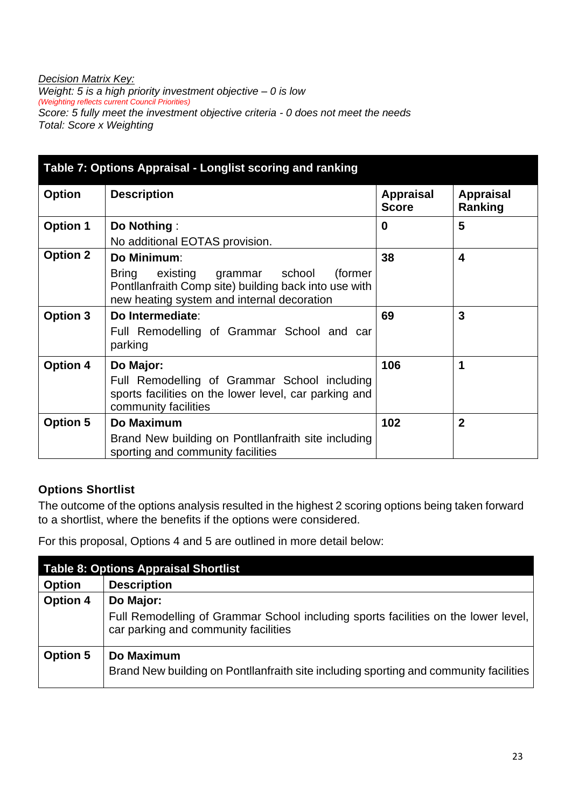#### *Decision Matrix Key:*

*Weight: 5 is a high priority investment objective – 0 is low (Weighting reflects current Council Priorities) Score: 5 fully meet the investment objective criteria - 0 does not meet the needs Total: Score x Weighting* 

| Table 7: Options Appraisal - Longlist scoring and ranking |                                                                                                                                                                      |                                  |                             |  |  |  |
|-----------------------------------------------------------|----------------------------------------------------------------------------------------------------------------------------------------------------------------------|----------------------------------|-----------------------------|--|--|--|
| <b>Option</b>                                             | <b>Description</b>                                                                                                                                                   | <b>Appraisal</b><br><b>Score</b> | <b>Appraisal</b><br>Ranking |  |  |  |
| <b>Option 1</b>                                           | Do Nothing:<br>No additional EOTAS provision.                                                                                                                        | 0                                | 5                           |  |  |  |
| <b>Option 2</b>                                           | Do Minimum:<br>(former<br>Bring<br>existing<br>grammar school<br>Pontllanfraith Comp site) building back into use with<br>new heating system and internal decoration | 38                               | 4                           |  |  |  |
| <b>Option 3</b>                                           | Do Intermediate:<br>Full Remodelling of Grammar School and car<br>parking                                                                                            | 69                               | 3                           |  |  |  |
| <b>Option 4</b>                                           | Do Major:<br>Full Remodelling of Grammar School including<br>sports facilities on the lower level, car parking and<br>community facilities                           | 106                              | 1                           |  |  |  |
| <b>Option 5</b>                                           | <b>Do Maximum</b><br>Brand New building on Pontllanfraith site including<br>sporting and community facilities                                                        | 102                              | $\mathbf{2}$                |  |  |  |

### **Options Shortlist**

The outcome of the options analysis resulted in the highest 2 scoring options being taken forward to a shortlist, where the benefits if the options were considered.

For this proposal, Options 4 and 5 are outlined in more detail below:

| <b>Table 8: Options Appraisal Shortlist</b> |                                                                                                                            |  |  |  |
|---------------------------------------------|----------------------------------------------------------------------------------------------------------------------------|--|--|--|
| <b>Option</b>                               | <b>Description</b>                                                                                                         |  |  |  |
| <b>Option 4</b>                             | Do Major:                                                                                                                  |  |  |  |
|                                             | Full Remodelling of Grammar School including sports facilities on the lower level,<br>car parking and community facilities |  |  |  |
| <b>Option 5</b>                             | Do Maximum<br>Brand New building on Pontllanfraith site including sporting and community facilities                        |  |  |  |
|                                             |                                                                                                                            |  |  |  |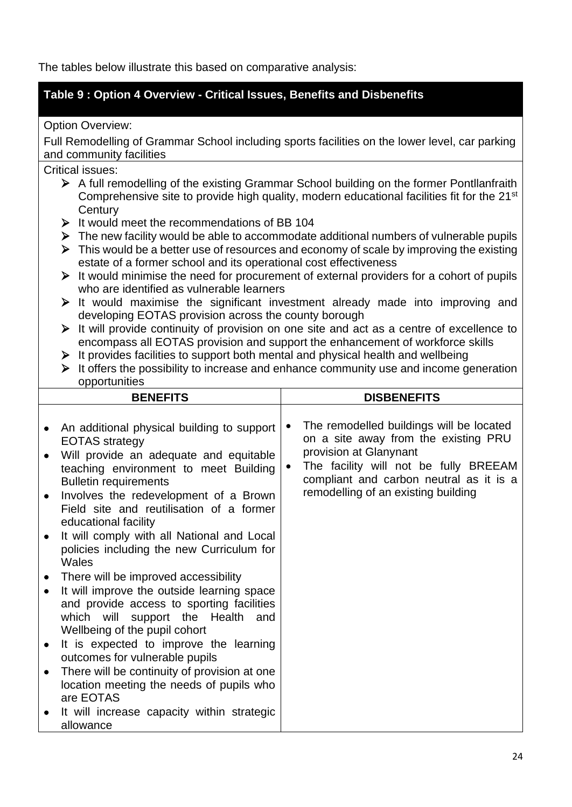The tables below illustrate this based on comparative analysis:

### **Table 9 : Option 4 Overview - Critical Issues, Benefits and Disbenefits**

Option Overview:

Full Remodelling of Grammar School including sports facilities on the lower level, car parking and community facilities

#### Critical issues:

- ➢ A full remodelling of the existing Grammar School building on the former Pontllanfraith Comprehensive site to provide high quality, modern educational facilities fit for the 21<sup>st</sup> **Century**
- ➢ It would meet the recommendations of BB 104
- ➢ The new facility would be able to accommodate additional numbers of vulnerable pupils
- ➢ This would be a better use of resources and economy of scale by improving the existing estate of a former school and its operational cost effectiveness
- ➢ It would minimise the need for procurement of external providers for a cohort of pupils who are identified as vulnerable learners
- ➢ It would maximise the significant investment already made into improving and developing EOTAS provision across the county borough
- ➢ It will provide continuity of provision on one site and act as a centre of excellence to encompass all EOTAS provision and support the enhancement of workforce skills
- $\triangleright$  It provides facilities to support both mental and physical health and wellbeing
- ➢ It offers the possibility to increase and enhance community use and income generation opportunities

| <b>BENEFITS</b>                     |                                                                                                                                                                                                                                                                                                                                                                                                                                                                | <b>DISBENEFITS</b> |                                                                                                                                                                                                                                       |  |
|-------------------------------------|----------------------------------------------------------------------------------------------------------------------------------------------------------------------------------------------------------------------------------------------------------------------------------------------------------------------------------------------------------------------------------------------------------------------------------------------------------------|--------------------|---------------------------------------------------------------------------------------------------------------------------------------------------------------------------------------------------------------------------------------|--|
| $\bullet$<br>$\bullet$<br>$\bullet$ | An additional physical building to support<br><b>EOTAS</b> strategy<br>Will provide an adequate and equitable<br>teaching environment to meet Building<br><b>Bulletin requirements</b><br>Involves the redevelopment of a Brown<br>Field site and reutilisation of a former<br>educational facility<br>It will comply with all National and Local<br>policies including the new Curriculum for                                                                 | ٠                  | The remodelled buildings will be located<br>on a site away from the existing PRU<br>provision at Glanynant<br>The facility will not be fully BREEAM<br>compliant and carbon neutral as it is a<br>remodelling of an existing building |  |
| $\bullet$<br>$\bullet$              | Wales<br>There will be improved accessibility<br>It will improve the outside learning space<br>and provide access to sporting facilities<br>which will support the Health and<br>Wellbeing of the pupil cohort<br>It is expected to improve the learning<br>outcomes for vulnerable pupils<br>There will be continuity of provision at one<br>location meeting the needs of pupils who<br>are EOTAS<br>It will increase capacity within strategic<br>allowance |                    |                                                                                                                                                                                                                                       |  |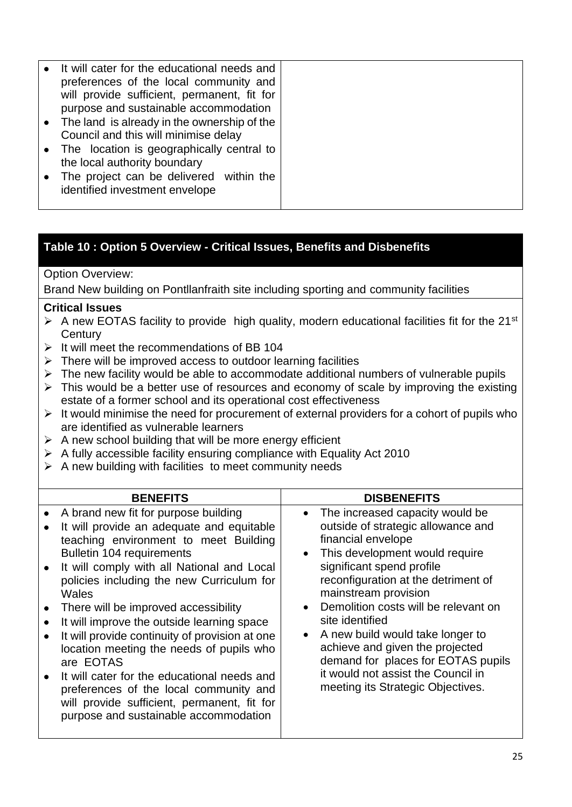| It will cater for the educational needs and<br>preferences of the local community and |
|---------------------------------------------------------------------------------------|
| will provide sufficient, permanent, fit for                                           |
| purpose and sustainable accommodation                                                 |
| • The land is already in the ownership of the                                         |
| Council and this will minimise delay                                                  |
| • The location is geographically central to                                           |
| the local authority boundary                                                          |
| The project can be delivered within the                                               |
| identified investment envelope                                                        |
|                                                                                       |

#### **Table 10 : Option 5 Overview - Critical Issues, Benefits and Disbenefits**

#### Option Overview:

Brand New building on Pontllanfraith site including sporting and community facilities

#### **Critical Issues**

- $\triangleright$  A new EOTAS facility to provide high quality, modern educational facilities fit for the 21<sup>st</sup> **Century**
- $\triangleright$  It will meet the recommendations of BB 104
- $\triangleright$  There will be improved access to outdoor learning facilities
- ➢ The new facility would be able to accommodate additional numbers of vulnerable pupils
- ➢ This would be a better use of resources and economy of scale by improving the existing estate of a former school and its operational cost effectiveness
- $\triangleright$  It would minimise the need for procurement of external providers for a cohort of pupils who are identified as vulnerable learners
- $\triangleright$  A new school building that will be more energy efficient
- ➢ A fully accessible facility ensuring compliance with Equality Act 2010
- $\triangleright$  A new building with facilities to meet community needs

| <b>BENEFITS</b>                                                                                                                                                                                                                                                                                                                                                                                                                                                                                                                                                                                                                                                         | <b>DISBENEFITS</b>                                                                                                                                                                                                                                                                                                                                                                                                                                                                 |
|-------------------------------------------------------------------------------------------------------------------------------------------------------------------------------------------------------------------------------------------------------------------------------------------------------------------------------------------------------------------------------------------------------------------------------------------------------------------------------------------------------------------------------------------------------------------------------------------------------------------------------------------------------------------------|------------------------------------------------------------------------------------------------------------------------------------------------------------------------------------------------------------------------------------------------------------------------------------------------------------------------------------------------------------------------------------------------------------------------------------------------------------------------------------|
| A brand new fit for purpose building<br>It will provide an adequate and equitable<br>teaching environment to meet Building<br>Bulletin 104 requirements<br>It will comply with all National and Local<br>$\bullet$<br>policies including the new Curriculum for<br>Wales<br>There will be improved accessibility<br>$\bullet$<br>It will improve the outside learning space<br>It will provide continuity of provision at one<br>location meeting the needs of pupils who<br>are EOTAS<br>It will cater for the educational needs and<br>preferences of the local community and<br>will provide sufficient, permanent, fit for<br>purpose and sustainable accommodation | • The increased capacity would be<br>outside of strategic allowance and<br>financial envelope<br>This development would require<br>significant spend profile<br>reconfiguration at the detriment of<br>mainstream provision<br>• Demolition costs will be relevant on<br>site identified<br>• A new build would take longer to<br>achieve and given the projected<br>demand for places for EOTAS pupils<br>it would not assist the Council in<br>meeting its Strategic Objectives. |
|                                                                                                                                                                                                                                                                                                                                                                                                                                                                                                                                                                                                                                                                         |                                                                                                                                                                                                                                                                                                                                                                                                                                                                                    |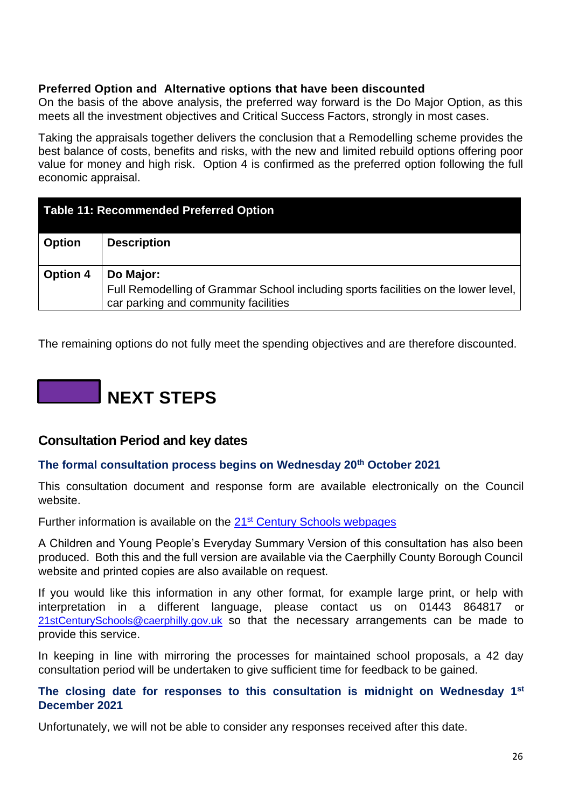#### <span id="page-25-0"></span>**Preferred Option and Alternative options that have been discounted**

On the basis of the above analysis, the preferred way forward is the Do Major Option, as this meets all the investment objectives and Critical Success Factors, strongly in most cases.

Taking the appraisals together delivers the conclusion that a Remodelling scheme provides the best balance of costs, benefits and risks, with the new and limited rebuild options offering poor value for money and high risk. Option 4 is confirmed as the preferred option following the full economic appraisal.

| <b>Table 11: Recommended Preferred Option</b> |                                                                                                                                           |  |  |  |
|-----------------------------------------------|-------------------------------------------------------------------------------------------------------------------------------------------|--|--|--|
| <b>Option</b>                                 | <b>Description</b>                                                                                                                        |  |  |  |
| <b>Option 4</b>                               | Do Major:<br>Full Remodelling of Grammar School including sports facilities on the lower level,  <br>car parking and community facilities |  |  |  |

<span id="page-25-2"></span>The remaining options do not fully meet the spending objectives and are therefore discounted.

# **NEXT STEPS**

#### <span id="page-25-1"></span>**Consultation Period and key dates**

#### **The formal consultation process begins on Wednesday 20th October 2021**

This consultation document and response form are available electronically on the Council website.

Further information is available on the 21<sup>st</sup> [Century Schools webpages](http://www.caerphilly.gov.uk/Services/Schools-and-learning/21st-Century-Schools)

A Children and Young People's Everyday Summary Version of this consultation has also been produced. Both this and the full version are available via the Caerphilly County Borough Council website and printed copies are also available on request.

If you would like this information in any other format, for example large print, or help with interpretation in a different language, please contact us on 01443 864817 or [21stCenturySchools@caerphilly.gov.uk](mailto:21stCenturySchools@caerphilly.gov.uk) so that the necessary arrangements can be made to provide this service.

In keeping in line with mirroring the processes for maintained school proposals, a 42 day consultation period will be undertaken to give sufficient time for feedback to be gained.

#### **The closing date for responses to this consultation is midnight on Wednesday 1st December 2021**

Unfortunately, we will not be able to consider any responses received after this date.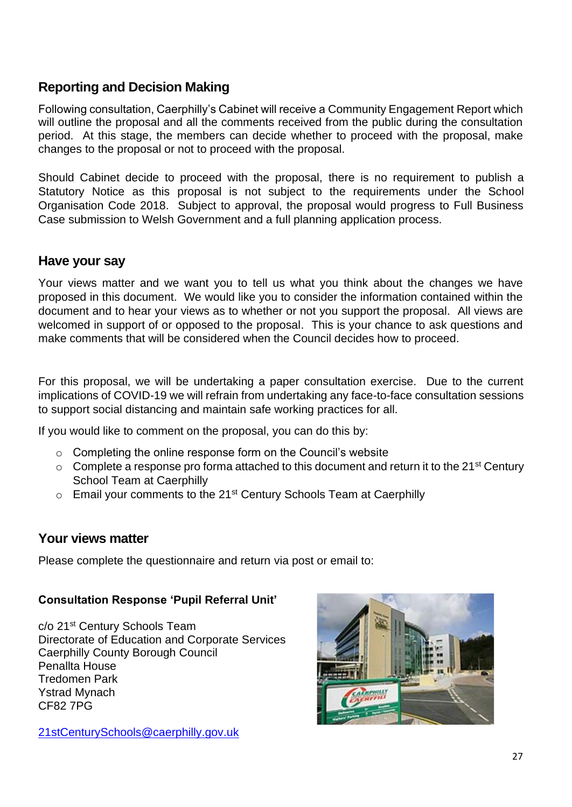# <span id="page-26-0"></span>**Reporting and Decision Making**

Following consultation, Caerphilly's Cabinet will receive a Community Engagement Report which will outline the proposal and all the comments received from the public during the consultation period. At this stage, the members can decide whether to proceed with the proposal, make changes to the proposal or not to proceed with the proposal.

Should Cabinet decide to proceed with the proposal, there is no requirement to publish a Statutory Notice as this proposal is not subject to the requirements under the School Organisation Code 2018. Subject to approval, the proposal would progress to Full Business Case submission to Welsh Government and a full planning application process.

### <span id="page-26-1"></span>**Have your say**

Your views matter and we want you to tell us what you think about the changes we have proposed in this document. We would like you to consider the information contained within the document and to hear your views as to whether or not you support the proposal. All views are welcomed in support of or opposed to the proposal. This is your chance to ask questions and make comments that will be considered when the Council decides how to proceed.

For this proposal, we will be undertaking a paper consultation exercise. Due to the current implications of COVID-19 we will refrain from undertaking any face-to-face consultation sessions to support social distancing and maintain safe working practices for all.

If you would like to comment on the proposal, you can do this by:

- $\circ$  Completing the online response form on the Council's website
- $\circ$  Complete a response pro forma attached to this document and return it to the 21<sup>st</sup> Century School Team at Caerphilly
- $\circ$  Email your comments to the 21<sup>st</sup> Century Schools Team at Caerphilly

#### **Your views matter**

Please complete the questionnaire and return via post or email to:

#### **Consultation Response 'Pupil Referral Unit'**

c/o 21st Century Schools Team Directorate of Education and Corporate Services Caerphilly County Borough Council Penallta House Tredomen Park Ystrad Mynach CF82 7PG

[21stCenturySchools@caerphilly.gov.uk](mailto:21stCenturySchools@caerphilly.gov.uk)